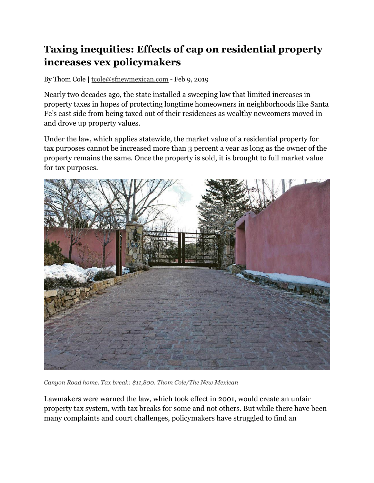## **Taxing inequities: Effects of cap on residential property increases vex policymakers**

By Thom Cole [| tcole@sfnewmexican.com](mailto:tcole@sfnewmexican.com) - Feb 9, 2019

Nearly two decades ago, the state installed a sweeping law that limited increases in property taxes in hopes of protecting longtime homeowners in neighborhoods like Santa Fe's east side from being taxed out of their residences as wealthy newcomers moved in and drove up property values.

Under the law, which applies statewide, the market value of a residential property for tax purposes cannot be increased more than 3 percent a year as long as the owner of the property remains the same. Once the property is sold, it is brought to full market value for tax purposes.



*Canyon Road home. Tax break: \$11,800. Thom Cole/The New Mexican*

Lawmakers were warned the law, which took effect in 2001, would create an unfair property tax system, with tax breaks for some and not others. But while there have been many complaints and court challenges, policymakers have struggled to find an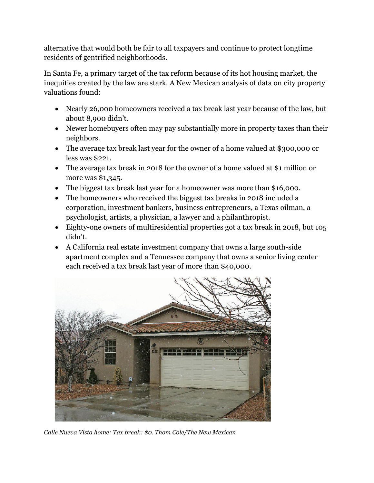alternative that would both be fair to all taxpayers and continue to protect longtime residents of gentrified neighborhoods.

In Santa Fe, a primary target of the tax reform because of its hot housing market, the inequities created by the law are stark. A New Mexican analysis of data on city property valuations found:

- Nearly 26,000 homeowners received a tax break last year because of the law, but about 8,900 didn't.
- Newer homebuyers often may pay substantially more in property taxes than their neighbors.
- The average tax break last year for the owner of a home valued at \$300,000 or less was \$221.
- The average tax break in 2018 for the owner of a home valued at \$1 million or more was \$1,345.
- The biggest tax break last year for a homeowner was more than \$16,000.
- The homeowners who received the biggest tax breaks in 2018 included a corporation, investment bankers, business entrepreneurs, a Texas oilman, a psychologist, artists, a physician, a lawyer and a philanthropist.
- Eighty-one owners of multiresidential properties got a tax break in 2018, but 105 didn't.
- A California real estate investment company that owns a large south-side apartment complex and a Tennessee company that owns a senior living center each received a tax break last year of more than \$40,000.



*Calle Nueva Vista home: Tax break: \$0. Thom Cole/The New Mexican*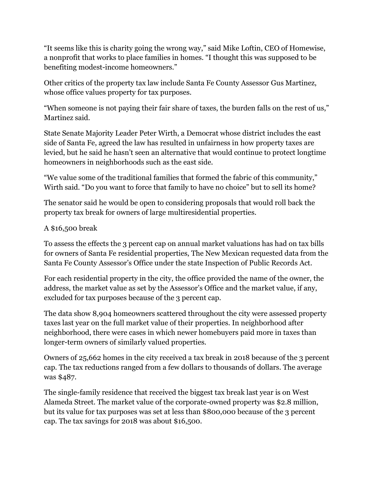"It seems like this is charity going the wrong way," said Mike Loftin, CEO of Homewise, a nonprofit that works to place families in homes. "I thought this was supposed to be benefiting modest-income homeowners."

Other critics of the property tax law include Santa Fe County Assessor Gus Martinez, whose office values property for tax purposes.

"When someone is not paying their fair share of taxes, the burden falls on the rest of us," Martinez said.

State Senate Majority Leader Peter Wirth, a Democrat whose district includes the east side of Santa Fe, agreed the law has resulted in unfairness in how property taxes are levied, but he said he hasn't seen an alternative that would continue to protect longtime homeowners in neighborhoods such as the east side.

"We value some of the traditional families that formed the fabric of this community," Wirth said. "Do you want to force that family to have no choice" but to sell its home?

The senator said he would be open to considering proposals that would roll back the property tax break for owners of large multiresidential properties.

## A \$16,500 break

To assess the effects the 3 percent cap on annual market valuations has had on tax bills for owners of Santa Fe residential properties, The New Mexican requested data from the Santa Fe County Assessor's Office under the state Inspection of Public Records Act.

For each residential property in the city, the office provided the name of the owner, the address, the market value as set by the Assessor's Office and the market value, if any, excluded for tax purposes because of the 3 percent cap.

The data show 8,904 homeowners scattered throughout the city were assessed property taxes last year on the full market value of their properties. In neighborhood after neighborhood, there were cases in which newer homebuyers paid more in taxes than longer-term owners of similarly valued properties.

Owners of 25,662 homes in the city received a tax break in 2018 because of the 3 percent cap. The tax reductions ranged from a few dollars to thousands of dollars. The average was \$487.

The single-family residence that received the biggest tax break last year is on West Alameda Street. The market value of the corporate-owned property was \$2.8 million, but its value for tax purposes was set at less than \$800,000 because of the 3 percent cap. The tax savings for 2018 was about \$16,500.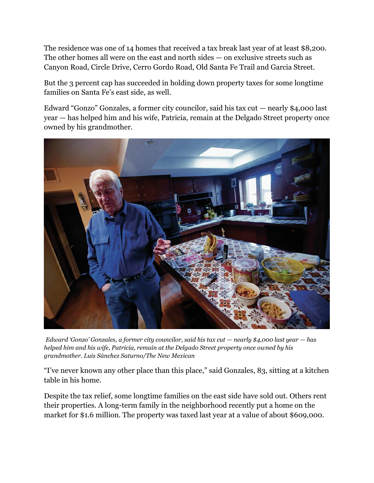The residence was one of 14 homes that received a tax break last year of at least \$8,200. The other homes all were on the east and north sides — on exclusive streets such as Canyon Road, Circle Drive, Cerro Gordo Road, Old Santa Fe Trail and Garcia Street.

But the 3 percent cap has succeeded in holding down property taxes for some longtime families on Santa Fe's east side, as well.

Edward "Gonzo" Gonzales, a former city councilor, said his tax cut — nearly \$4,000 last year — has helped him and his wife, Patricia, remain at the Delgado Street property once owned by his grandmother.



*Edward 'Gonzo' Gonzales, a former city councilor, said his tax cut — nearly \$4,000 last year — has helped him and his wife, Patricia, remain at the Delgado Street property once owned by his grandmother. Luis Sánchez Saturno/The New Mexican*

"I've never known any other place than this place," said Gonzales, 83, sitting at a kitchen table in his home.

Despite the tax relief, some longtime families on the east side have sold out. Others rent their properties. A long-term family in the neighborhood recently put a home on the market for \$1.6 million. The property was taxed last year at a value of about \$609,000.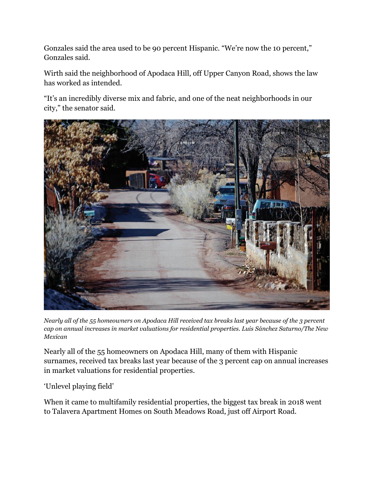Gonzales said the area used to be 90 percent Hispanic. "We're now the 10 percent," Gonzales said.

Wirth said the neighborhood of Apodaca Hill, off Upper Canyon Road, shows the law has worked as intended.

"It's an incredibly diverse mix and fabric, and one of the neat neighborhoods in our city," the senator said.



*Nearly all of the 55 homeowners on Apodaca Hill received tax breaks last year because of the 3 percent cap on annual increases in market valuations for residential properties. Luis Sánchez Saturno/The New Mexican*

Nearly all of the 55 homeowners on Apodaca Hill, many of them with Hispanic surnames, received tax breaks last year because of the 3 percent cap on annual increases in market valuations for residential properties.

'Unlevel playing field'

When it came to multifamily residential properties, the biggest tax break in 2018 went to Talavera Apartment Homes on South Meadows Road, just off Airport Road.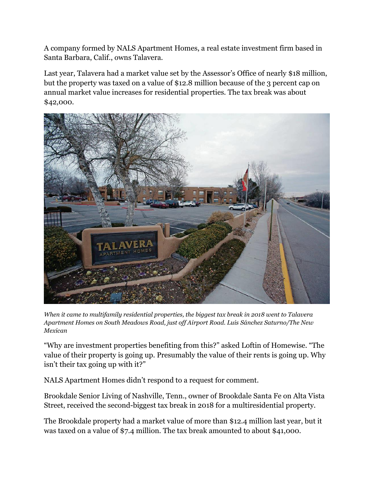A company formed by NALS Apartment Homes, a real estate investment firm based in Santa Barbara, Calif., owns Talavera.

Last year, Talavera had a market value set by the Assessor's Office of nearly \$18 million, but the property was taxed on a value of \$12.8 million because of the 3 percent cap on annual market value increases for residential properties. The tax break was about \$42,000.



*When it came to multifamily residential properties, the biggest tax break in 2018 went to Talavera Apartment Homes on South Meadows Road, just off Airport Road. Luis Sánchez Saturno/The New Mexican*

"Why are investment properties benefiting from this?" asked Loftin of Homewise. "The value of their property is going up. Presumably the value of their rents is going up. Why isn't their tax going up with it?"

NALS Apartment Homes didn't respond to a request for comment.

Brookdale Senior Living of Nashville, Tenn., owner of Brookdale Santa Fe on Alta Vista Street, received the second-biggest tax break in 2018 for a multiresidential property.

The Brookdale property had a market value of more than \$12.4 million last year, but it was taxed on a value of \$7.4 million. The tax break amounted to about \$41,000.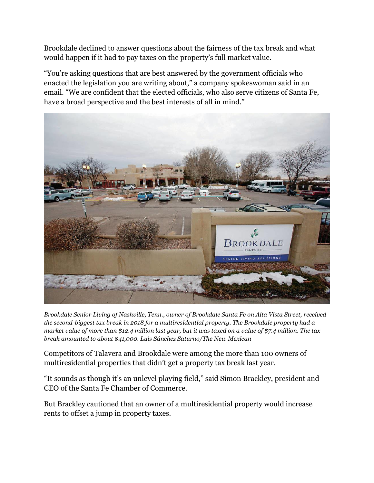Brookdale declined to answer questions about the fairness of the tax break and what would happen if it had to pay taxes on the property's full market value.

"You're asking questions that are best answered by the government officials who enacted the legislation you are writing about," a company spokeswoman said in an email. "We are confident that the elected officials, who also serve citizens of Santa Fe, have a broad perspective and the best interests of all in mind."



*Brookdale Senior Living of Nashville, Tenn., owner of Brookdale Santa Fe on Alta Vista Street, received the second-biggest tax break in 2018 for a multiresidential property. The Brookdale property had a market value of more than \$12.4 million last year, but it was taxed on a value of \$7.4 million. The tax break amounted to about \$41,000. Luis Sánchez Saturno/The New Mexican*

Competitors of Talavera and Brookdale were among the more than 100 owners of multiresidential properties that didn't get a property tax break last year.

"It sounds as though it's an unlevel playing field," said Simon Brackley, president and CEO of the Santa Fe Chamber of Commerce.

But Brackley cautioned that an owner of a multiresidential property would increase rents to offset a jump in property taxes.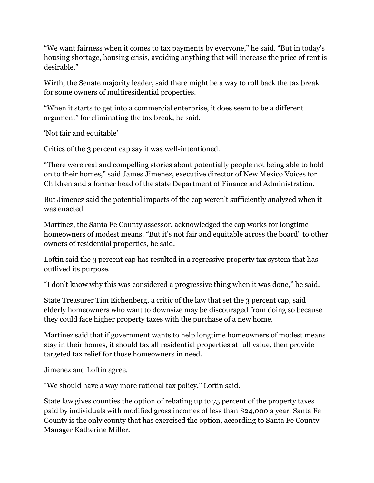"We want fairness when it comes to tax payments by everyone," he said. "But in today's housing shortage, housing crisis, avoiding anything that will increase the price of rent is desirable."

Wirth, the Senate majority leader, said there might be a way to roll back the tax break for some owners of multiresidential properties.

"When it starts to get into a commercial enterprise, it does seem to be a different argument" for eliminating the tax break, he said.

'Not fair and equitable'

Critics of the 3 percent cap say it was well-intentioned.

"There were real and compelling stories about potentially people not being able to hold on to their homes," said James Jimenez, executive director of New Mexico Voices for Children and a former head of the state Department of Finance and Administration.

But Jimenez said the potential impacts of the cap weren't sufficiently analyzed when it was enacted.

Martinez, the Santa Fe County assessor, acknowledged the cap works for longtime homeowners of modest means. "But it's not fair and equitable across the board" to other owners of residential properties, he said.

Loftin said the 3 percent cap has resulted in a regressive property tax system that has outlived its purpose.

"I don't know why this was considered a progressive thing when it was done," he said.

State Treasurer Tim Eichenberg, a critic of the law that set the 3 percent cap, said elderly homeowners who want to downsize may be discouraged from doing so because they could face higher property taxes with the purchase of a new home.

Martinez said that if government wants to help longtime homeowners of modest means stay in their homes, it should tax all residential properties at full value, then provide targeted tax relief for those homeowners in need.

Jimenez and Loftin agree.

"We should have a way more rational tax policy," Loftin said.

State law gives counties the option of rebating up to 75 percent of the property taxes paid by individuals with modified gross incomes of less than \$24,000 a year. Santa Fe County is the only county that has exercised the option, according to Santa Fe County Manager Katherine Miller.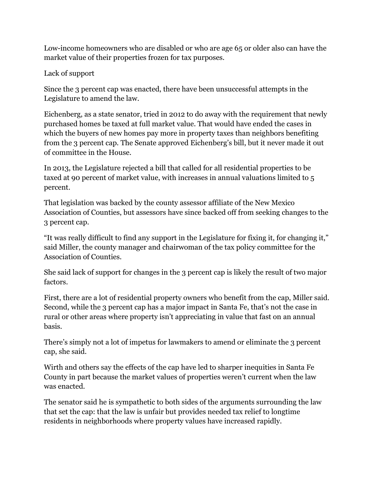Low-income homeowners who are disabled or who are age 65 or older also can have the market value of their properties frozen for tax purposes.

Lack of support

Since the 3 percent cap was enacted, there have been unsuccessful attempts in the Legislature to amend the law.

Eichenberg, as a state senator, tried in 2012 to do away with the requirement that newly purchased homes be taxed at full market value. That would have ended the cases in which the buyers of new homes pay more in property taxes than neighbors benefiting from the 3 percent cap. The Senate approved Eichenberg's bill, but it never made it out of committee in the House.

In 2013, the Legislature rejected a bill that called for all residential properties to be taxed at 90 percent of market value, with increases in annual valuations limited to 5 percent.

That legislation was backed by the county assessor affiliate of the New Mexico Association of Counties, but assessors have since backed off from seeking changes to the 3 percent cap.

"It was really difficult to find any support in the Legislature for fixing it, for changing it," said Miller, the county manager and chairwoman of the tax policy committee for the Association of Counties.

She said lack of support for changes in the 3 percent cap is likely the result of two major factors.

First, there are a lot of residential property owners who benefit from the cap, Miller said. Second, while the 3 percent cap has a major impact in Santa Fe, that's not the case in rural or other areas where property isn't appreciating in value that fast on an annual basis.

There's simply not a lot of impetus for lawmakers to amend or eliminate the 3 percent cap, she said.

Wirth and others say the effects of the cap have led to sharper inequities in Santa Fe County in part because the market values of properties weren't current when the law was enacted.

The senator said he is sympathetic to both sides of the arguments surrounding the law that set the cap: that the law is unfair but provides needed tax relief to longtime residents in neighborhoods where property values have increased rapidly.